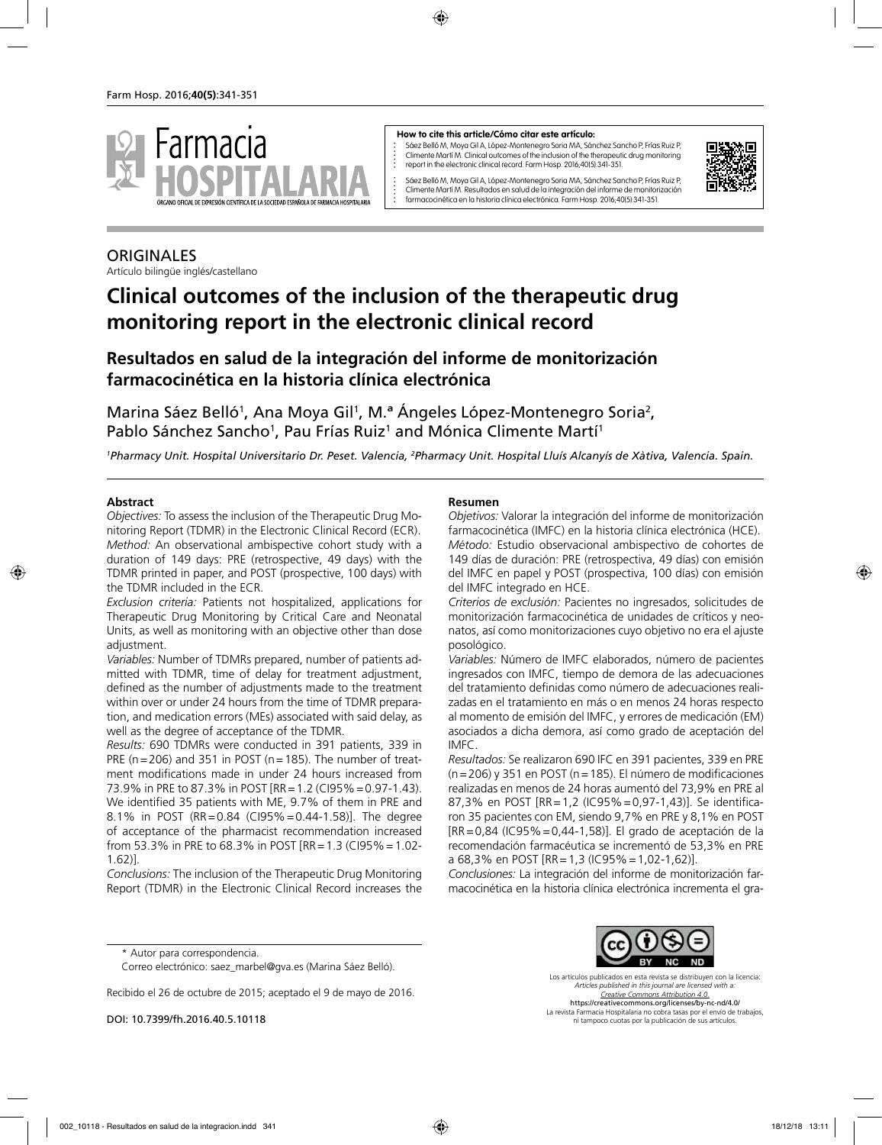

#### **How to cite this article/Cómo citar este artículo:**

Sáez Belló M, Moya Gil A, López-Montenegro Soria MA, Sánchez Sancho P, Frías Ruiz P, Climente Martí M. Clinical outcomes of the inclusion of the therapeutic drug monitoring report in the electronic clinical record. Farm Hosp. 2016;40(5):341-351.



Sáez Belló M, Moya Gil A, López-Montenegro Soria MA, Sánchez Sancho P, Frías Ruiz P, Climente Martí M. Resultados en salud de la integración del informe de monitorización farmacocinética en la historia clínica electrónica. Farm Hosp. 2016;40(5):341-351.

# **ORIGINALES**

Artículo bilingüe inglés/castellano

# **Clinical outcomes of the inclusion of the therapeutic drug monitoring report in the electronic clinical record**

# **Resultados en salud de la integración del informe de monitorización farmacocinética en la historia clínica electrónica**

Marina Sáez Belló<sup>1</sup>, Ana Moya Gil<sup>1</sup>, M.ª Angeles López-Montenegro Soria<sup>2</sup>, Pablo Sánchez Sancho<sup>1</sup>, Pau Frías Ruiz<sup>1</sup> and Mónica Climente Martí<sup>1</sup>

*1 Pharmacy Unit. Hospital Universitario Dr. Peset. Valencia, 2 Pharmacy Unit. Hospital Lluís Alcanyís de Xàtiva, Valencia. Spain.*

#### **Abstract**

*Objectives:* To assess the inclusion of the Therapeutic Drug Monitoring Report (TDMR) in the Electronic Clinical Record (ECR). *Method:* An observational ambispective cohort study with a duration of 149 days: PRE (retrospective, 49 days) with the TDMR printed in paper, and POST (prospective, 100 days) with the TDMR included in the ECR.

*Exclusion criteria:* Patients not hospitalized, applications for Therapeutic Drug Monitoring by Critical Care and Neonatal Units, as well as monitoring with an objective other than dose adjustment.

*Variables:* Number of TDMRs prepared, number of patients admitted with TDMR, time of delay for treatment adjustment, defined as the number of adjustments made to the treatment within over or under 24 hours from the time of TDMR preparation, and medication errors (MEs) associated with said delay, as well as the degree of acceptance of the TDMR.

*Results:* 690 TDMRs were conducted in 391 patients, 339 in PRE ( $n=206$ ) and 351 in POST ( $n=185$ ). The number of treatment modifications made in under 24 hours increased from 73.9% in PRE to 87.3% in POST [RR=1.2 (CI95%=0.97-1.43). We identified 35 patients with ME, 9.7% of them in PRE and 8.1% in POST (RR=0.84 (CI95%=0.44-1.58)]. The degree of acceptance of the pharmacist recommendation increased from 53.3% in PRE to 68.3% in POST [RR=1.3 (CI95%=1.02- 1.62)].

*Conclusions:* The inclusion of the Therapeutic Drug Monitoring Report (TDMR) in the Electronic Clinical Record increases the

#### **Resumen**

*Objetivos:* Valorar la integración del informe de monitorización farmacocinética (IMFC) en la historia clínica electrónica (HCE). *Método:* Estudio observacional ambispectivo de cohortes de 149 días de duración: PRE (retrospectiva, 49 días) con emisión del IMFC en papel y POST (prospectiva, 100 días) con emisión del IMFC integrado en HCE.

*Criterios de exclusión:* Pacientes no ingresados, solicitudes de monitorización farmacocinética de unidades de críticos y neonatos, así como monitorizaciones cuyo objetivo no era el ajuste posológico.

*Variables:* Número de IMFC elaborados, número de pacientes ingresados con IMFC, tiempo de demora de las adecuaciones del tratamiento definidas como número de adecuaciones realizadas en el tratamiento en más o en menos 24 horas respecto al momento de emisión del IMFC, y errores de medicación (EM) asociados a dicha demora, así como grado de aceptación del IMFC.

*Resultados:* Se realizaron 690 IFC en 391 pacientes, 339 en PRE (n=206) y 351 en POST (n=185). El número de modificaciones realizadas en menos de 24 horas aumentó del 73,9% en PRE al 87,3% en POST [RR=1,2 (IC95%=0,97-1,43)]. Se identificaron 35 pacientes con EM, siendo 9,7% en PRE y 8,1% en POST [RR=0,84 (IC95%=0,44-1,58)]. El grado de aceptación de la recomendación farmacéutica se incrementó de 53,3% en PRE a 68,3% en POST [RR=1,3 (IC95%=1,02-1,62)].

*Conclusiones:* La integración del informe de monitorización farmacocinética en la historia clínica electrónica incrementa el gra-

\* Autor para correspondencia.

Recibido el 26 de octubre de 2015; aceptado el 9 de mayo de 2016.

DOI: 10.7399/fh.2016.40.5.10118



Los artículos publicados en esta revista se distribuyen con la licencia: *Articles published in this journal are licensed with a: Creative Commons Attribution 4.0.* https://creativecommons.org/licenses/by-nc-nd/4.0/ La revista Farmacia Hospitalaria no cobra tasas por el envío de trabajos, ni tampoco cuotas por la publicación de sus artículos.

Correo electrónico: saez\_marbel@gva.es (Marina Sáez Belló).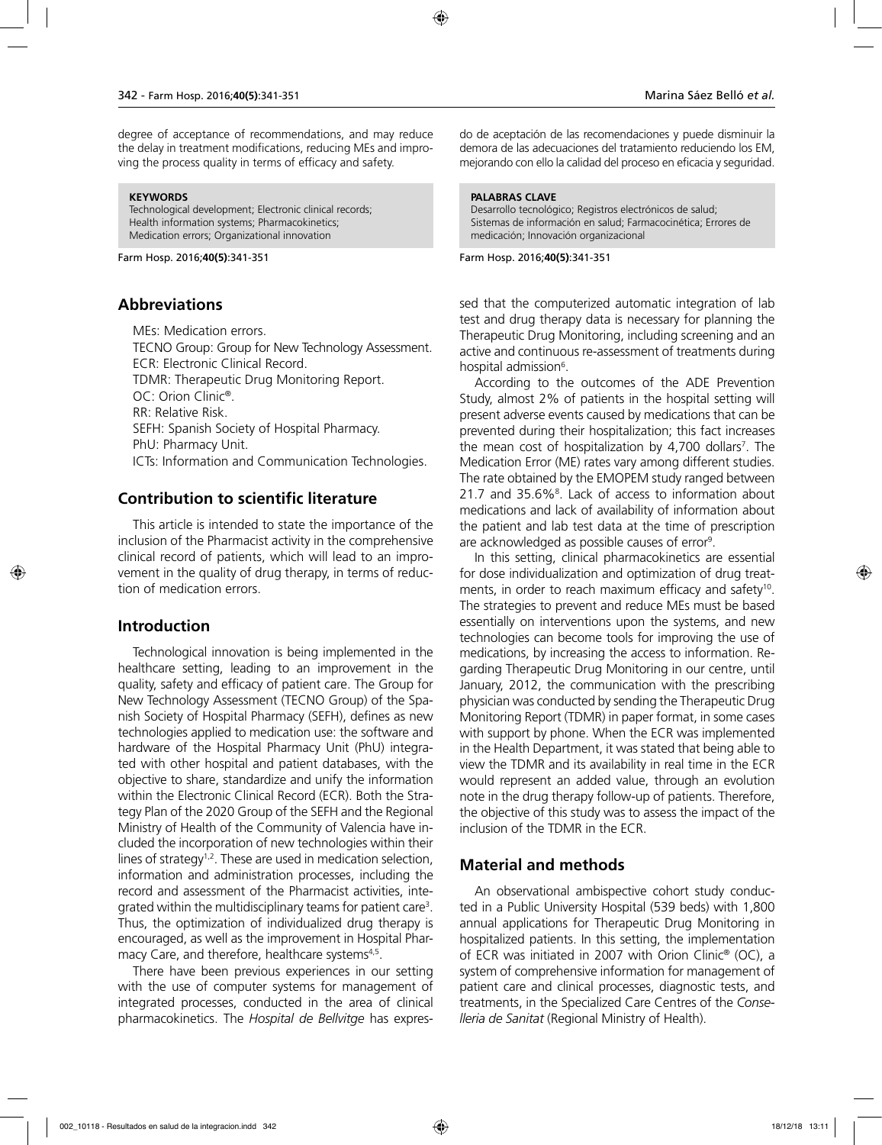degree of acceptance of recommendations, and may reduce the delay in treatment modifications, reducing MEs and improving the process quality in terms of efficacy and safety.

#### **KEYWORDS**

Technological development; Electronic clinical records; Health information systems; Pharmacokinetics; Medication errors; Organizational innovation

Farm Hosp. 2016;**40(5)**:341-351

#### **Abbreviations**

MEs: Medication errors. TECNO Group: Group for New Technology Assessment. ECR: Electronic Clinical Record. TDMR: Therapeutic Drug Monitoring Report. OC: Orion Clinic®. RR: Relative Risk. SEFH: Spanish Society of Hospital Pharmacy. PhU: Pharmacy Unit. ICTs: Information and Communication Technologies.

### **Contribution to scientific literature**

This article is intended to state the importance of the inclusion of the Pharmacist activity in the comprehensive clinical record of patients, which will lead to an improvement in the quality of drug therapy, in terms of reduction of medication errors.

#### **Introduction**

Technological innovation is being implemented in the healthcare setting, leading to an improvement in the quality, safety and efficacy of patient care. The Group for New Technology Assessment (TECNO Group) of the Spanish Society of Hospital Pharmacy (SEFH), defines as new technologies applied to medication use: the software and hardware of the Hospital Pharmacy Unit (PhU) integrated with other hospital and patient databases, with the objective to share, standardize and unify the information within the Electronic Clinical Record (ECR). Both the Strategy Plan of the 2020 Group of the SEFH and the Regional Ministry of Health of the Community of Valencia have included the incorporation of new technologies within their lines of strategy<sup>1,2</sup>. These are used in medication selection, information and administration processes, including the record and assessment of the Pharmacist activities, integrated within the multidisciplinary teams for patient care<sup>3</sup>. Thus, the optimization of individualized drug therapy is encouraged, as well as the improvement in Hospital Pharmacy Care, and therefore, healthcare systems<sup>4,5</sup>.

There have been previous experiences in our setting with the use of computer systems for management of integrated processes, conducted in the area of clinical pharmacokinetics. The *Hospital de Bellvitge* has expresdo de aceptación de las recomendaciones y puede disminuir la demora de las adecuaciones del tratamiento reduciendo los EM, mejorando con ello la calidad del proceso en eficacia y seguridad.

#### **PALABRAS CLAVE**

Desarrollo tecnológico; Registros electrónicos de salud; Sistemas de información en salud; Farmacocinética; Errores de medicación; Innovación organizacional

#### Farm Hosp. 2016;**40(5)**:341-351

sed that the computerized automatic integration of lab test and drug therapy data is necessary for planning the Therapeutic Drug Monitoring, including screening and an active and continuous re-assessment of treatments during hospital admission<sup>6</sup>.

According to the outcomes of the ADE Prevention Study, almost 2% of patients in the hospital setting will present adverse events caused by medications that can be prevented during their hospitalization; this fact increases the mean cost of hospitalization by 4,700 dollars7 . The Medication Error (ME) rates vary among different studies. The rate obtained by the EMOPEM study ranged between 21.7 and 35.6%<sup>8</sup>. Lack of access to information about medications and lack of availability of information about the patient and lab test data at the time of prescription are acknowledged as possible causes of error<sup>9</sup>.

In this setting, clinical pharmacokinetics are essential for dose individualization and optimization of drug treatments, in order to reach maximum efficacy and safety<sup>10</sup>. The strategies to prevent and reduce MEs must be based essentially on interventions upon the systems, and new technologies can become tools for improving the use of medications, by increasing the access to information. Regarding Therapeutic Drug Monitoring in our centre, until January, 2012, the communication with the prescribing physician was conducted by sending the Therapeutic Drug Monitoring Report (TDMR) in paper format, in some cases with support by phone. When the ECR was implemented in the Health Department, it was stated that being able to view the TDMR and its availability in real time in the ECR would represent an added value, through an evolution note in the drug therapy follow-up of patients. Therefore, the objective of this study was to assess the impact of the inclusion of the TDMR in the ECR.

### **Material and methods**

An observational ambispective cohort study conducted in a Public University Hospital (539 beds) with 1,800 annual applications for Therapeutic Drug Monitoring in hospitalized patients. In this setting, the implementation of ECR was initiated in 2007 with Orion Clinic® (OC), a system of comprehensive information for management of patient care and clinical processes, diagnostic tests, and treatments, in the Specialized Care Centres of the *Conselleria de Sanitat* (Regional Ministry of Health).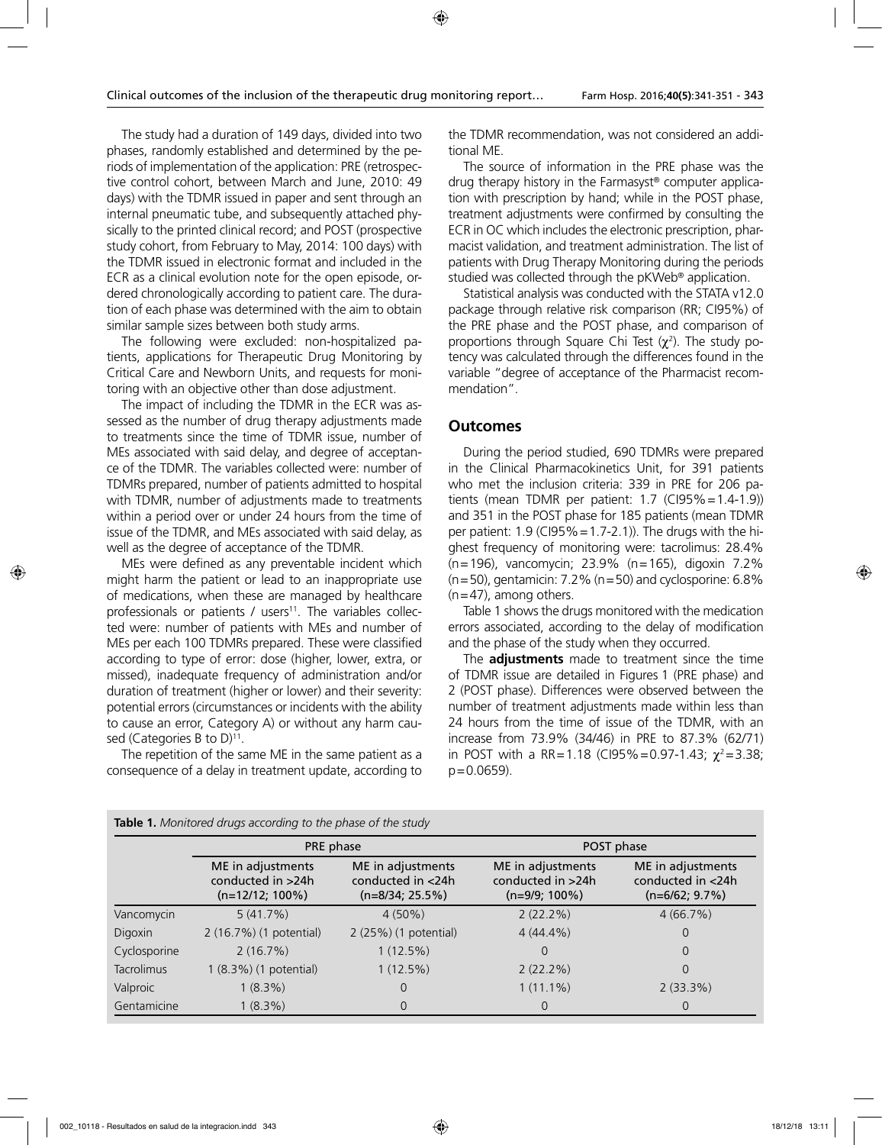The study had a duration of 149 days, divided into two phases, randomly established and determined by the periods of implementation of the application: PRE (retrospective control cohort, between March and June, 2010: 49 days) with the TDMR issued in paper and sent through an internal pneumatic tube, and subsequently attached physically to the printed clinical record; and POST (prospective study cohort, from February to May, 2014: 100 days) with the TDMR issued in electronic format and included in the ECR as a clinical evolution note for the open episode, ordered chronologically according to patient care. The duration of each phase was determined with the aim to obtain similar sample sizes between both study arms.

The following were excluded: non-hospitalized patients, applications for Therapeutic Drug Monitoring by Critical Care and Newborn Units, and requests for monitoring with an objective other than dose adjustment.

The impact of including the TDMR in the ECR was assessed as the number of drug therapy adjustments made to treatments since the time of TDMR issue, number of MEs associated with said delay, and degree of acceptance of the TDMR. The variables collected were: number of TDMRs prepared, number of patients admitted to hospital with TDMR, number of adjustments made to treatments within a period over or under 24 hours from the time of issue of the TDMR, and MEs associated with said delay, as well as the degree of acceptance of the TDMR.

MEs were defined as any preventable incident which might harm the patient or lead to an inappropriate use of medications, when these are managed by healthcare professionals or patients / users $11$ . The variables collected were: number of patients with MEs and number of MEs per each 100 TDMRs prepared. These were classified according to type of error: dose (higher, lower, extra, or missed), inadequate frequency of administration and/or duration of treatment (higher or lower) and their severity: potential errors (circumstances or incidents with the ability to cause an error, Category A) or without any harm caused (Categories B to  $D$ )<sup>11</sup>.

The repetition of the same ME in the same patient as a consequence of a delay in treatment update, according to the TDMR recommendation, was not considered an additional ME.

The source of information in the PRE phase was the drug therapy history in the Farmasyst® computer application with prescription by hand; while in the POST phase, treatment adjustments were confirmed by consulting the ECR in OC which includes the electronic prescription, pharmacist validation, and treatment administration. The list of patients with Drug Therapy Monitoring during the periods studied was collected through the pKWeb® application.

Statistical analysis was conducted with the STATA v12.0 package through relative risk comparison (RR; CI95%) of the PRE phase and the POST phase, and comparison of proportions through Square Chi Test  $(χ<sup>2</sup>)$ . The study potency was calculated through the differences found in the variable "degree of acceptance of the Pharmacist recommendation".

#### **Outcomes**

During the period studied, 690 TDMRs were prepared in the Clinical Pharmacokinetics Unit, for 391 patients who met the inclusion criteria: 339 in PRE for 206 patients (mean TDMR per patient: 1.7 (CI95%=1.4-1.9)) and 351 in the POST phase for 185 patients (mean TDMR per patient:  $1.9$  (CI95% =  $1.7-2.1$ )). The drugs with the highest frequency of monitoring were: tacrolimus: 28.4% (n=196), vancomycin; 23.9% (n=165), digoxin 7.2% (n=50), gentamicin: 7.2% (n=50) and cyclosporine: 6.8%  $(n=47)$ , among others.

Table 1 shows the drugs monitored with the medication errors associated, according to the delay of modification and the phase of the study when they occurred.

The **adjustments** made to treatment since the time of TDMR issue are detailed in Figures 1 (PRE phase) and 2 (POST phase). Differences were observed between the number of treatment adjustments made within less than 24 hours from the time of issue of the TDMR, with an increase from 73.9% (34/46) in PRE to 87.3% (62/71) in POST with a RR=1.18 (CI95%=0.97-1.43;  $\chi^2$ =3.38; p=0.0659).

|                   | PRE phase                                                    |                                                             | POST phase                                                 |                                                            |  |  |
|-------------------|--------------------------------------------------------------|-------------------------------------------------------------|------------------------------------------------------------|------------------------------------------------------------|--|--|
|                   | ME in adjustments<br>conducted in >24h<br>$(n=12/12; 100\%)$ | ME in adjustments<br>conducted in <24h<br>$(n=8/34; 25.5%)$ | ME in adjustments<br>conducted in >24h<br>$(n=9/9; 100\%)$ | ME in adjustments<br>conducted in <24h<br>$(n=6/62; 9.7%)$ |  |  |
| Vancomycin        | 5(41.7%)                                                     | $4(50\%)$                                                   | $2(22.2\%)$                                                | 4(66.7%)                                                   |  |  |
| Digoxin           | 2 (16.7%) (1 potential)                                      | 2 (25%) (1 potential)                                       | $4(44.4\%)$                                                | 0                                                          |  |  |
| Cyclosporine      | 2(16.7%)                                                     | 1(12.5%)                                                    | $\Omega$                                                   | 0                                                          |  |  |
| <b>Tacrolimus</b> | 1 (8.3%) (1 potential)                                       | 1(12.5%)                                                    | $2(22.2\%)$                                                | 0                                                          |  |  |
| Valproic          | $1(8.3\%)$                                                   | 0                                                           | $1(11.1\%)$                                                | 2(33.3%)                                                   |  |  |
| Gentamicine       | $1(8.3\%)$                                                   | 0                                                           | $\Omega$                                                   | 0                                                          |  |  |

**Table 1.** *Monitored drugs according to the phase of the study*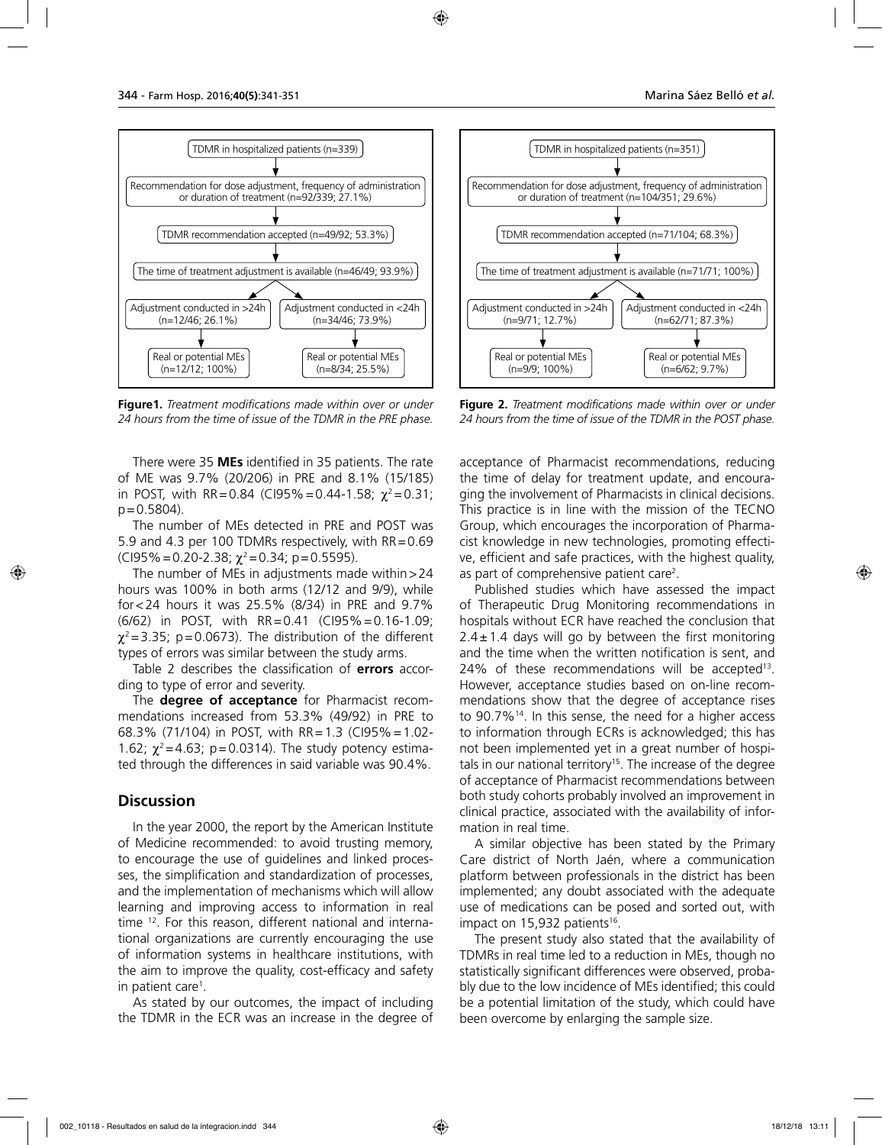

**Figure1.** *Treatment modifications made within over or under 24 hours from the time of issue of the TDMR in the PRE phase.*

There were 35 **MEs** identified in 35 patients. The rate of ME was 9.7% (20/206) in PRE and 8.1% (15/185) in POST, with RR=0.84 (CI95%=0.44-1.58;  $\chi^2$ =0.31;  $p = 0.5804$ ).

The number of MEs detected in PRE and POST was 5.9 and 4.3 per 100 TDMRs respectively, with RR=0.69 (CI95% = 0.20-2.38;  $\chi^2$  = 0.34; p = 0.5595).

The number of MEs in adjustments made within  $>$  24 hours was 100% in both arms (12/12 and 9/9), while for<24 hours it was 25.5% (8/34) in PRE and 9.7% (6/62) in POST, with RR=0.41 (CI95%=0.16-1.09;  $\chi^2$ =3.35; p=0.0673). The distribution of the different types of errors was similar between the study arms.

Table 2 describes the classification of **errors** according to type of error and severity.

The **degree of acceptance** for Pharmacist recommendations increased from 53.3% (49/92) in PRE to 68.3% (71/104) in POST, with RR=1.3 (CI95%=1.02- 1.62;  $\chi^2$  = 4.63; p = 0.0314). The study potency estimated through the differences in said variable was 90.4%.

#### **Discussion**

In the year 2000, the report by the American Institute of Medicine recommended: to avoid trusting memory, to encourage the use of guidelines and linked processes, the simplification and standardization of processes, and the implementation of mechanisms which will allow learning and improving access to information in real time 12. For this reason, different national and international organizations are currently encouraging the use of information systems in healthcare institutions, with the aim to improve the quality, cost-efficacy and safety in patient care<sup>1</sup>.

As stated by our outcomes, the impact of including the TDMR in the ECR was an increase in the degree of



**Figure 2.** *Treatment modifications made within over or under 24 hours from the time of issue of the TDMR in the POST phase.*

acceptance of Pharmacist recommendations, reducing the time of delay for treatment update, and encouraging the involvement of Pharmacists in clinical decisions. This practice is in line with the mission of the TECNO Group, which encourages the incorporation of Pharmacist knowledge in new technologies, promoting effective, efficient and safe practices, with the highest quality, as part of comprehensive patient care<sup>2</sup>.

Published studies which have assessed the impact of Therapeutic Drug Monitoring recommendations in hospitals without ECR have reached the conclusion that  $2.4 \pm 1.4$  days will go by between the first monitoring and the time when the written notification is sent, and  $24\%$  of these recommendations will be accepted<sup>13</sup>. However, acceptance studies based on on-line recommendations show that the degree of acceptance rises to 90.7%14. In this sense, the need for a higher access to information through ECRs is acknowledged; this has not been implemented yet in a great number of hospitals in our national territory<sup>15</sup>. The increase of the degree of acceptance of Pharmacist recommendations between both study cohorts probably involved an improvement in clinical practice, associated with the availability of information in real time.

A similar objective has been stated by the Primary Care district of North Jaén, where a communication platform between professionals in the district has been implemented; any doubt associated with the adequate use of medications can be posed and sorted out, with impact on 15,932 patients<sup>16</sup>.

The present study also stated that the availability of TDMRs in real time led to a reduction in MEs, though no statistically significant differences were observed, probably due to the low incidence of MEs identified; this could be a potential limitation of the study, which could have been overcome by enlarging the sample size.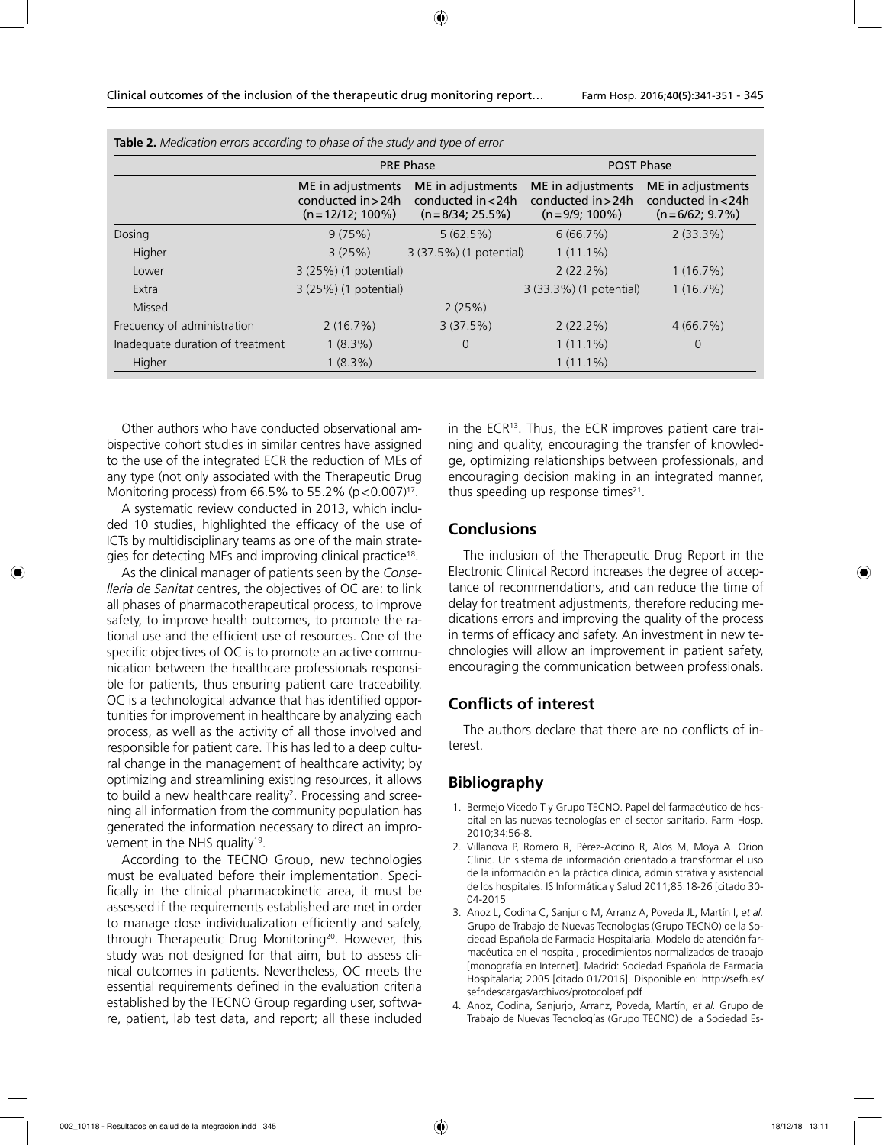|                                  |                                                               | <b>PRE Phase</b>                                                | <b>POST Phase</b>                                             |                                                            |  |  |
|----------------------------------|---------------------------------------------------------------|-----------------------------------------------------------------|---------------------------------------------------------------|------------------------------------------------------------|--|--|
|                                  | ME in adjustments<br>conducted in > 24h<br>$(n=12/12; 100\%)$ | ME in adjustments<br>conducted in $<$ 24h<br>$(n=8/34; 25.5\%)$ | ME in adjustments<br>conducted $in > 24h$<br>$(n=9/9; 100\%)$ | ME in adjustments<br>conducted in <24h<br>$(n=6/62; 9.7%)$ |  |  |
| Dosing                           | 9(75%)                                                        | 5(62.5%)                                                        | 6(66.7%)                                                      | $2(33.3\%)$                                                |  |  |
| Higher                           | 3(25%)                                                        | 3 (37.5%) (1 potential)                                         | $1(11.1\%)$                                                   |                                                            |  |  |
| Lower                            | 3 (25%) (1 potential)                                         |                                                                 | $2(22.2\%)$                                                   | 1(16.7%)                                                   |  |  |
| Extra                            | 3 (25%) (1 potential)                                         |                                                                 | 3 (33.3%) (1 potential)                                       | 1(16.7%)                                                   |  |  |
| Missed                           |                                                               | 2(25%)                                                          |                                                               |                                                            |  |  |
| Frecuency of administration      | 2(16.7%)                                                      | 3(37.5%)                                                        | $2(22.2\%)$                                                   | 4(66.7%)                                                   |  |  |
| Inadequate duration of treatment | $1(8.3\%)$                                                    | $\Omega$                                                        | $1(11.1\%)$                                                   | 0                                                          |  |  |
| Higher                           | $1(8.3\%)$                                                    |                                                                 | $1(11.1\%)$                                                   |                                                            |  |  |

**Table 2.** *Medication errors according to phase of the study and type of error*

Other authors who have conducted observational ambispective cohort studies in similar centres have assigned to the use of the integrated ECR the reduction of MEs of any type (not only associated with the Therapeutic Drug Monitoring process) from 66.5% to 55.2%  $(p < 0.007)^{17}$ .

A systematic review conducted in 2013, which included 10 studies, highlighted the efficacy of the use of ICTs by multidisciplinary teams as one of the main strategies for detecting MEs and improving clinical practice<sup>18</sup>.

As the clinical manager of patients seen by the *Conselleria de Sanitat* centres, the objectives of OC are: to link all phases of pharmacotherapeutical process, to improve safety, to improve health outcomes, to promote the rational use and the efficient use of resources. One of the specific objectives of OC is to promote an active communication between the healthcare professionals responsible for patients, thus ensuring patient care traceability. OC is a technological advance that has identified opportunities for improvement in healthcare by analyzing each process, as well as the activity of all those involved and responsible for patient care. This has led to a deep cultural change in the management of healthcare activity; by optimizing and streamlining existing resources, it allows to build a new healthcare reality<sup>2</sup>. Processing and screening all information from the community population has generated the information necessary to direct an improvement in the NHS quality<sup>19</sup>.

According to the TECNO Group, new technologies must be evaluated before their implementation. Specifically in the clinical pharmacokinetic area, it must be assessed if the requirements established are met in order to manage dose individualization efficiently and safely, through Therapeutic Drug Monitoring<sup>20</sup>. However, this study was not designed for that aim, but to assess clinical outcomes in patients. Nevertheless, OC meets the essential requirements defined in the evaluation criteria established by the TECNO Group regarding user, software, patient, lab test data, and report; all these included

in the ECR<sup>13</sup>. Thus, the ECR improves patient care training and quality, encouraging the transfer of knowledge, optimizing relationships between professionals, and encouraging decision making in an integrated manner, thus speeding up response times $21$ .

#### **Conclusions**

The inclusion of the Therapeutic Drug Report in the Electronic Clinical Record increases the degree of acceptance of recommendations, and can reduce the time of delay for treatment adjustments, therefore reducing medications errors and improving the quality of the process in terms of efficacy and safety. An investment in new technologies will allow an improvement in patient safety, encouraging the communication between professionals.

#### **Conflicts of interest**

The authors declare that there are no conflicts of interest.

#### **Bibliography**

- 1. Bermejo Vicedo T y Grupo TECNO. Papel del farmacéutico de hospital en las nuevas tecnologías en el sector sanitario. Farm Hosp. 2010;34:56-8.
- 2. Villanova P, Romero R, Pérez-Accino R, Alós M, Moya A. Orion Clinic. Un sistema de información orientado a transformar el uso de la información en la práctica clínica, administrativa y asistencial de los hospitales. IS Informática y Salud 2011;85:18-26 [citado 30- 04-2015
- 3. Anoz L, Codina C, Sanjurjo M, Arranz A, Poveda JL, Martín I, *et al.* Grupo de Trabajo de Nuevas Tecnologías (Grupo TECNO) de la Sociedad Española de Farmacia Hospitalaria. Modelo de atención farmacéutica en el hospital, procedimientos normalizados de trabajo [monografía en Internet]. Madrid: Sociedad Española de Farmacia Hospitalaria; 2005 [citado 01/2016]. Disponible en: http://sefh.es/ sefhdescargas/archivos/protocoloaf.pdf
- 4. Anoz, Codina, Sanjurjo, Arranz, Poveda, Martín, *et al.* Grupo de Trabajo de Nuevas Tecnologías (Grupo TECNO) de la Sociedad Es-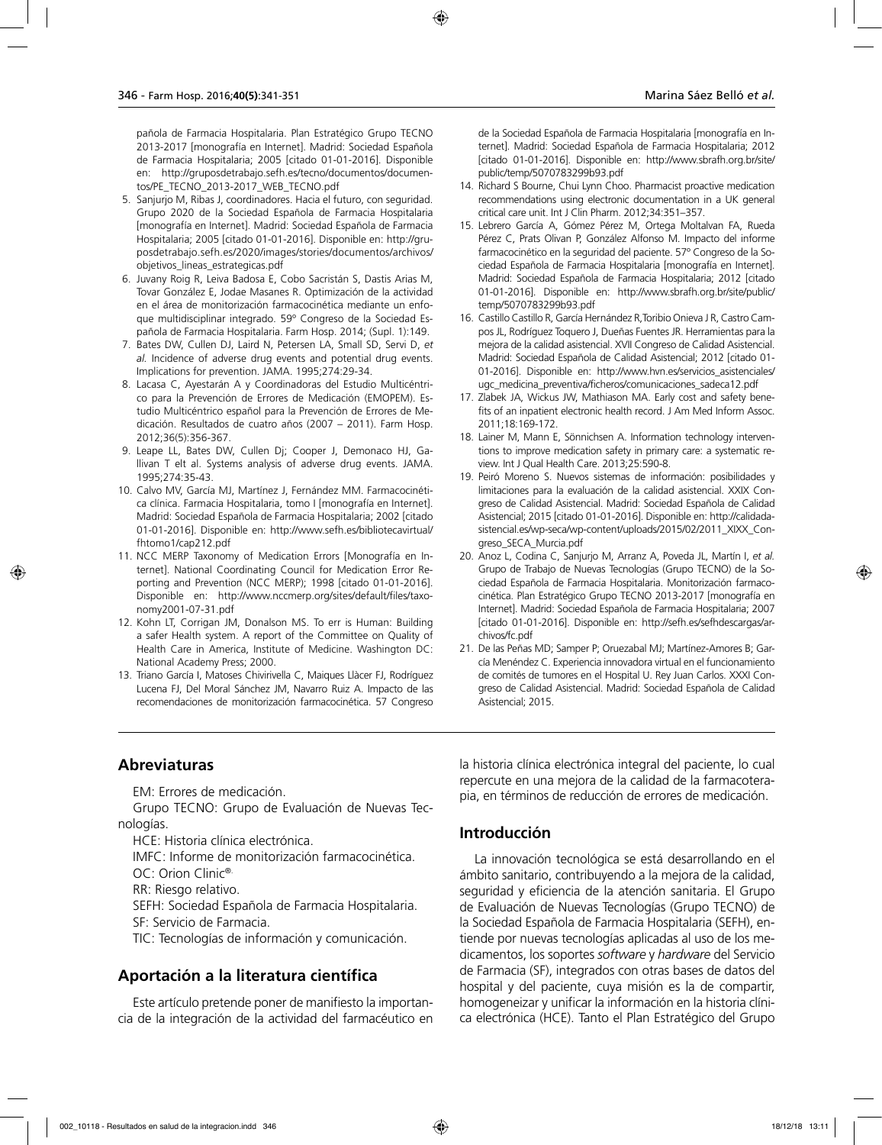pañola de Farmacia Hospitalaria. Plan Estratégico Grupo TECNO 2013-2017 [monografía en Internet]. Madrid: Sociedad Española de Farmacia Hospitalaria; 2005 [citado 01-01-2016]. Disponible en: http://gruposdetrabajo.sefh.es/tecno/documentos/documentos/PE\_TECNO\_2013-2017\_WEB\_TECNO.pdf

- 5. Sanjurjo M, Ribas J, coordinadores. Hacia el futuro, con seguridad. Grupo 2020 de la Sociedad Española de Farmacia Hospitalaria [monografía en Internet]. Madrid: Sociedad Española de Farmacia Hospitalaria; 2005 [citado 01-01-2016]. Disponible en: http://gruposdetrabajo.sefh.es/2020/images/stories/documentos/archivos/ objetivos\_lineas\_estrategicas.pdf
- 6. Juvany Roig R, Leiva Badosa E, Cobo Sacristán S, Dastis Arias M, Tovar González E, Jodae Masanes R. Optimización de la actividad en el área de monitorización farmacocinética mediante un enfoque multidisciplinar integrado. 59º Congreso de la Sociedad Española de Farmacia Hospitalaria. Farm Hosp. 2014; (Supl. 1):149.
- 7. Bates DW, Cullen DJ, Laird N, Petersen LA, Small SD, Servi D, *et al.* Incidence of adverse drug events and potential drug events. Implications for prevention. JAMA. 1995;274:29-34.
- 8. Lacasa C, Ayestarán A y Coordinadoras del Estudio Multicéntrico para la Prevención de Errores de Medicación (EMOPEM). Estudio Multicéntrico español para la Prevención de Errores de Medicación. Resultados de cuatro años (2007 – 2011). Farm Hosp. 2012;36(5):356-367.
- 9. Leape LL, Bates DW, Cullen Dj; Cooper J, Demonaco HJ, Gallivan T elt al. Systems analysis of adverse drug events. JAMA. 1995;274:35-43.
- 10. Calvo MV, García MJ, Martínez J, Fernández MM. Farmacocinética clínica. Farmacia Hospitalaria, tomo I [monografía en Internet]. Madrid: Sociedad Española de Farmacia Hospitalaria; 2002 [citado 01-01-2016]. Disponible en: http://www.sefh.es/bibliotecavirtual/ fhtomo1/cap212.pdf
- 11. NCC MERP Taxonomy of Medication Errors [Monografía en Internet]. National Coordinating Council for Medication Error Reporting and Prevention (NCC MERP); 1998 [citado 01-01-2016]. Disponible en: http://www.nccmerp.org/sites/default/files/taxonomy2001-07-31.pdf
- 12. Kohn LT, Corrigan JM, Donalson MS. To err is Human: Building a safer Health system. A report of the Committee on Quality of Health Care in America, Institute of Medicine. Washington DC: National Academy Press; 2000.
- 13. Triano García I, Matoses Chivirivella C, Maiques Llàcer FJ, Rodríguez Lucena FJ, Del Moral Sánchez JM, Navarro Ruiz A. Impacto de las recomendaciones de monitorización farmacocinética. 57 Congreso

de la Sociedad Española de Farmacia Hospitalaria [monografía en Internet]. Madrid: Sociedad Española de Farmacia Hospitalaria; 2012 [citado 01-01-2016]. Disponible en: http://www.sbrafh.org.br/site/ public/temp/5070783299b93.pdf

- 14. Richard S Bourne, Chui Lynn Choo. Pharmacist proactive medication recommendations using electronic documentation in a UK general critical care unit. Int J Clin Pharm. 2012;34:351–357.
- 15. Lebrero García A, Gómez Pérez M, Ortega Moltalvan FA, Rueda Pérez C, Prats Olivan P, González Alfonso M. Impacto del informe farmacocinético en la seguridad del paciente. 57º Congreso de la Sociedad Española de Farmacia Hospitalaria [monografía en Internet]. Madrid: Sociedad Española de Farmacia Hospitalaria; 2012 [citado 01-01-2016]. Disponible en: http://www.sbrafh.org.br/site/public/ temp/5070783299b93.pdf
- 16. Castillo Castillo R, García Hernández R,Toribio Onieva J R, Castro Campos JL, Rodríguez Toquero J, Dueñas Fuentes JR. Herramientas para la mejora de la calidad asistencial. XVII Congreso de Calidad Asistencial. Madrid: Sociedad Española de Calidad Asistencial; 2012 [citado 01- 01-2016]. Disponible en: http://www.hvn.es/servicios\_asistenciales/ ugc\_medicina\_preventiva/ficheros/comunicaciones\_sadeca12.pdf
- 17. Zlabek JA, Wickus JW, Mathiason MA. Early cost and safety benefits of an inpatient electronic health record. J Am Med Inform Assoc. 2011;18:169-172.
- 18. Lainer M, Mann E, Sönnichsen A. Information technology interventions to improve medication safety in primary care: a systematic review. Int J Qual Health Care. 2013;25:590-8.
- 19. Peiró Moreno S. Nuevos sistemas de información: posibilidades y limitaciones para la evaluación de la calidad asistencial. XXIX Congreso de Calidad Asistencial. Madrid: Sociedad Española de Calidad Asistencial; 2015 [citado 01-01-2016]. Disponible en: http://calidadasistencial.es/wp-seca/wp-content/uploads/2015/02/2011\_XIXX\_Congreso\_SECA\_Murcia.pdf
- 20. Anoz L, Codina C, Sanjurjo M, Arranz A, Poveda JL, Martín I, *et al.* Grupo de Trabajo de Nuevas Tecnologías (Grupo TECNO) de la Sociedad Española de Farmacia Hospitalaria. Monitorización farmacocinética. Plan Estratégico Grupo TECNO 2013-2017 [monografía en Internet]. Madrid: Sociedad Española de Farmacia Hospitalaria; 2007 [citado 01-01-2016]. Disponible en: http://sefh.es/sefhdescargas/archivos/fc.pdf
- 21. De las Peñas MD; Samper P; Oruezabal MJ; Martínez-Amores B; García Menéndez C. Experiencia innovadora virtual en el funcionamiento de comités de tumores en el Hospital U. Rey Juan Carlos. XXXI Congreso de Calidad Asistencial. Madrid: Sociedad Española de Calidad Asistencial; 2015.

# **Abreviaturas**

EM: Errores de medicación.

Grupo TECNO: Grupo de Evaluación de Nuevas Tecnologías.

HCE: Historia clínica electrónica.

IMFC: Informe de monitorización farmacocinética. OC: Orion Clinic®.

RR: Riesgo relativo.

SEFH: Sociedad Española de Farmacia Hospitalaria.

SF: Servicio de Farmacia.

TIC: Tecnologías de información y comunicación.

# **Aportación a la literatura científica**

Este artículo pretende poner de manifiesto la importancia de la integración de la actividad del farmacéutico en la historia clínica electrónica integral del paciente, lo cual repercute en una mejora de la calidad de la farmacoterapia, en términos de reducción de errores de medicación.

# **Introducción**

La innovación tecnológica se está desarrollando en el ámbito sanitario, contribuyendo a la mejora de la calidad, seguridad y eficiencia de la atención sanitaria. El Grupo de Evaluación de Nuevas Tecnologías (Grupo TECNO) de la Sociedad Española de Farmacia Hospitalaria (SEFH), entiende por nuevas tecnologías aplicadas al uso de los medicamentos, los soportes *software* y *hardware* del Servicio de Farmacia (SF), integrados con otras bases de datos del hospital y del paciente, cuya misión es la de compartir, homogeneizar y unificar la información en la historia clínica electrónica (HCE). Tanto el Plan Estratégico del Grupo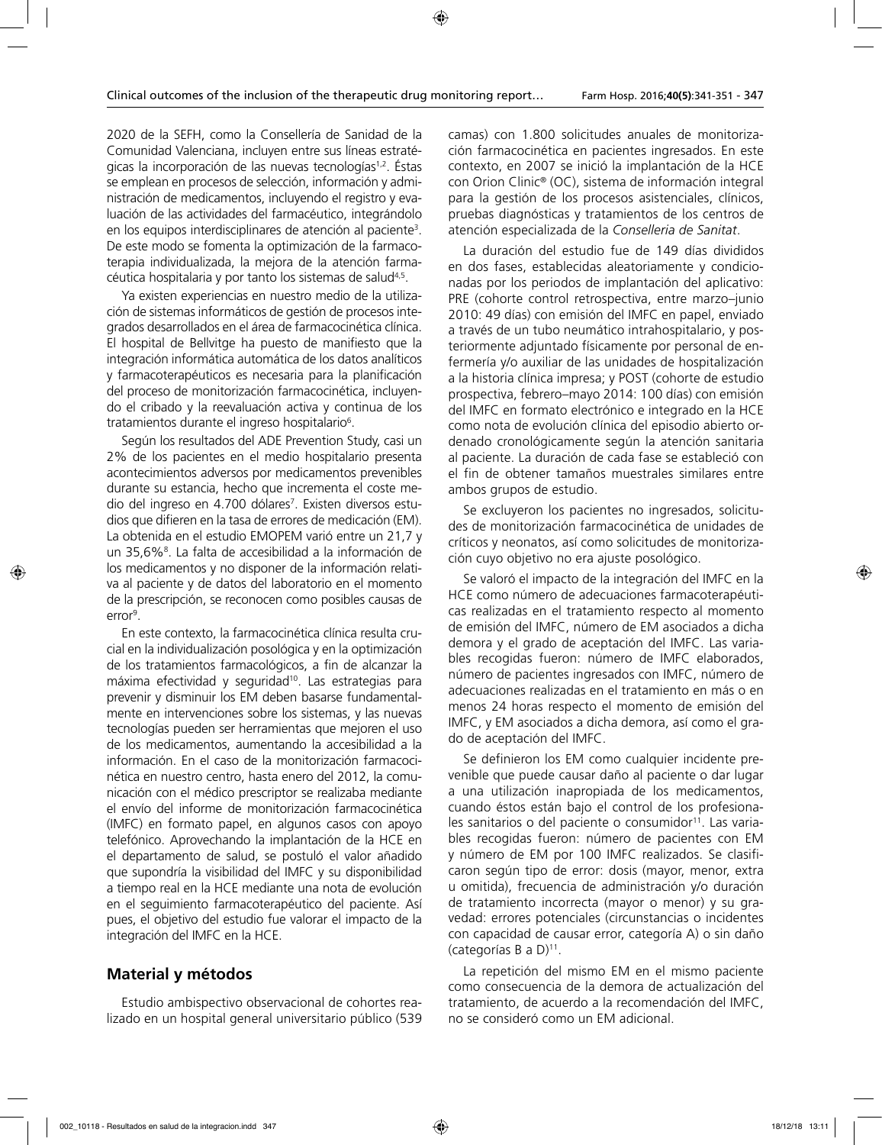2020 de la SEFH, como la Consellería de Sanidad de la Comunidad Valenciana, incluyen entre sus líneas estratégicas la incorporación de las nuevas tecnologías<sup>1,2</sup>. Éstas se emplean en procesos de selección, información y administración de medicamentos, incluyendo el registro y evaluación de las actividades del farmacéutico, integrándolo en los equipos interdisciplinares de atención al paciente3 . De este modo se fomenta la optimización de la farmacoterapia individualizada, la mejora de la atención farmacéutica hospitalaria y por tanto los sistemas de salud<sup>4,5</sup>.

Ya existen experiencias en nuestro medio de la utilización de sistemas informáticos de gestión de procesos integrados desarrollados en el área de farmacocinética clínica. El hospital de Bellvitge ha puesto de manifiesto que la integración informática automática de los datos analíticos y farmacoterapéuticos es necesaria para la planificación del proceso de monitorización farmacocinética, incluyendo el cribado y la reevaluación activa y continua de los tratamientos durante el ingreso hospitalario<sup>6</sup>.

Según los resultados del ADE Prevention Study, casi un 2% de los pacientes en el medio hospitalario presenta acontecimientos adversos por medicamentos prevenibles durante su estancia, hecho que incrementa el coste medio del ingreso en 4.700 dólares<sup>7</sup>. Existen diversos estudios que difieren en la tasa de errores de medicación (EM). La obtenida en el estudio EMOPEM varió entre un 21,7 y un 35,6%8 . La falta de accesibilidad a la información de los medicamentos y no disponer de la información relativa al paciente y de datos del laboratorio en el momento de la prescripción, se reconocen como posibles causas de error<sup>9</sup>.

En este contexto, la farmacocinética clínica resulta crucial en la individualización posológica y en la optimización de los tratamientos farmacológicos, a fin de alcanzar la máxima efectividad y seguridad<sup>10</sup>. Las estrategias para prevenir y disminuir los EM deben basarse fundamentalmente en intervenciones sobre los sistemas, y las nuevas tecnologías pueden ser herramientas que mejoren el uso de los medicamentos, aumentando la accesibilidad a la información. En el caso de la monitorización farmacocinética en nuestro centro, hasta enero del 2012, la comunicación con el médico prescriptor se realizaba mediante el envío del informe de monitorización farmacocinética (IMFC) en formato papel, en algunos casos con apoyo telefónico. Aprovechando la implantación de la HCE en el departamento de salud, se postuló el valor añadido que supondría la visibilidad del IMFC y su disponibilidad a tiempo real en la HCE mediante una nota de evolución en el seguimiento farmacoterapéutico del paciente. Así pues, el objetivo del estudio fue valorar el impacto de la integración del IMFC en la HCE.

### **Material y métodos**

Estudio ambispectivo observacional de cohortes realizado en un hospital general universitario público (539 camas) con 1.800 solicitudes anuales de monitorización farmacocinética en pacientes ingresados. En este contexto, en 2007 se inició la implantación de la HCE con Orion Clinic® (OC), sistema de información integral para la gestión de los procesos asistenciales, clínicos, pruebas diagnósticas y tratamientos de los centros de atención especializada de la *Conselleria de Sanitat*.

La duración del estudio fue de 149 días divididos en dos fases, establecidas aleatoriamente y condicionadas por los periodos de implantación del aplicativo: PRE (cohorte control retrospectiva, entre marzo–junio 2010: 49 días) con emisión del IMFC en papel, enviado a través de un tubo neumático intrahospitalario, y posteriormente adjuntado físicamente por personal de enfermería y/o auxiliar de las unidades de hospitalización a la historia clínica impresa; y POST (cohorte de estudio prospectiva, febrero–mayo 2014: 100 días) con emisión del IMFC en formato electrónico e integrado en la HCE como nota de evolución clínica del episodio abierto ordenado cronológicamente según la atención sanitaria al paciente. La duración de cada fase se estableció con el fin de obtener tamaños muestrales similares entre ambos grupos de estudio.

Se excluyeron los pacientes no ingresados, solicitudes de monitorización farmacocinética de unidades de críticos y neonatos, así como solicitudes de monitorización cuyo objetivo no era ajuste posológico.

Se valoró el impacto de la integración del IMFC en la HCE como número de adecuaciones farmacoterapéuticas realizadas en el tratamiento respecto al momento de emisión del IMFC, número de EM asociados a dicha demora y el grado de aceptación del IMFC. Las variables recogidas fueron: número de IMFC elaborados, número de pacientes ingresados con IMFC, número de adecuaciones realizadas en el tratamiento en más o en menos 24 horas respecto el momento de emisión del IMFC, y EM asociados a dicha demora, así como el grado de aceptación del IMFC.

Se definieron los EM como cualquier incidente prevenible que puede causar daño al paciente o dar lugar a una utilización inapropiada de los medicamentos, cuando éstos están bajo el control de los profesionales sanitarios o del paciente o consumidor<sup>11</sup>. Las variables recogidas fueron: número de pacientes con EM y número de EM por 100 IMFC realizados. Se clasificaron según tipo de error: dosis (mayor, menor, extra u omitida), frecuencia de administración y/o duración de tratamiento incorrecta (mayor o menor) y su gravedad: errores potenciales (circunstancias o incidentes con capacidad de causar error, categoría A) o sin daño (categorías B a D) $^{11}$ .

La repetición del mismo EM en el mismo paciente como consecuencia de la demora de actualización del tratamiento, de acuerdo a la recomendación del IMFC, no se consideró como un EM adicional.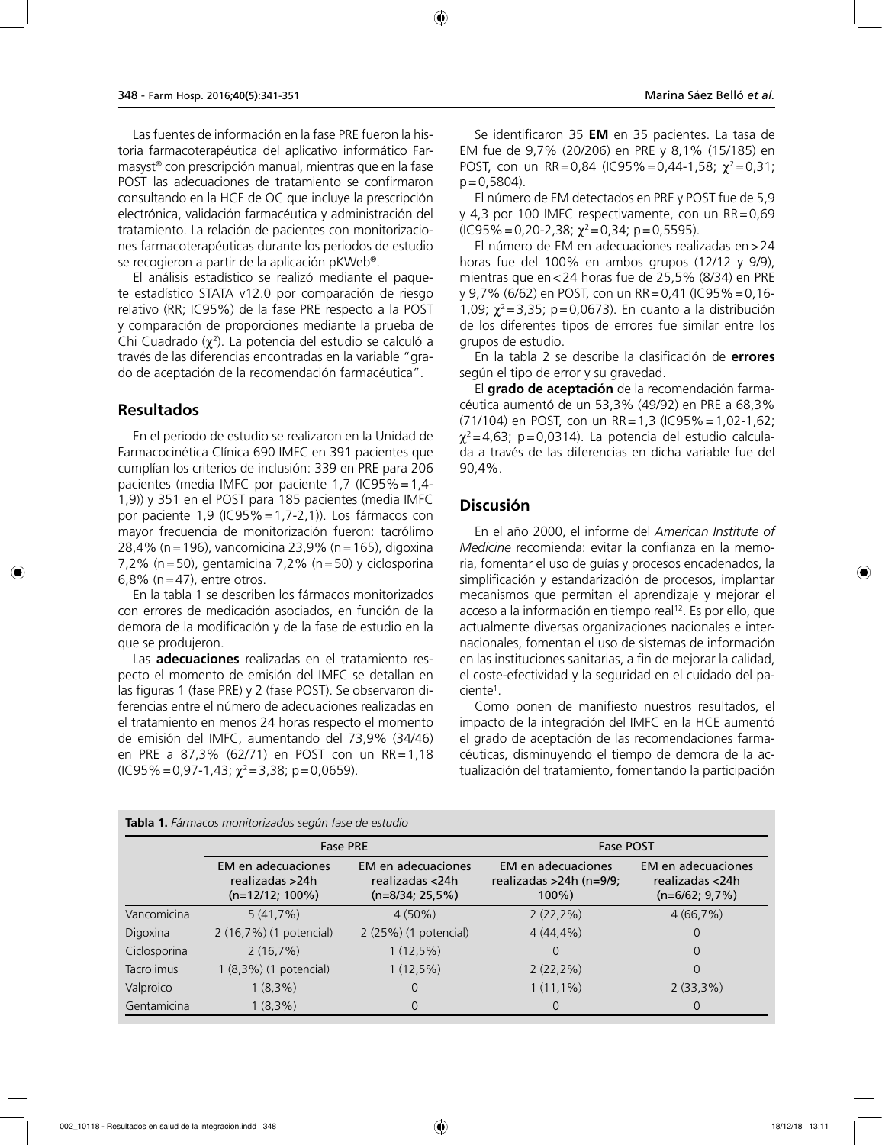Las fuentes de información en la fase PRE fueron la historia farmacoterapéutica del aplicativo informático Farmasyst® con prescripción manual, mientras que en la fase POST las adecuaciones de tratamiento se confirmaron consultando en la HCE de OC que incluye la prescripción electrónica, validación farmacéutica y administración del tratamiento. La relación de pacientes con monitorizaciones farmacoterapéuticas durante los periodos de estudio se recogieron a partir de la aplicación pKWeb®.

El análisis estadístico se realizó mediante el paquete estadístico STATA v12.0 por comparación de riesgo relativo (RR; IC95%) de la fase PRE respecto a la POST y comparación de proporciones mediante la prueba de Chi Cuadrado ( $\chi^2$ ). La potencia del estudio se calculó a través de las diferencias encontradas en la variable "grado de aceptación de la recomendación farmacéutica".

#### **Resultados**

En el periodo de estudio se realizaron en la Unidad de Farmacocinética Clínica 690 IMFC en 391 pacientes que cumplían los criterios de inclusión: 339 en PRE para 206 pacientes (media IMFC por paciente 1,7 (IC95%=1,4- 1,9)) y 351 en el POST para 185 pacientes (media IMFC por paciente 1,9 (IC95%=1,7-2,1)). Los fármacos con mayor frecuencia de monitorización fueron: tacrólimo 28,4% (n=196), vancomicina 23,9% (n=165), digoxina 7,2% (n=50), gentamicina 7,2% (n=50) y ciclosporina 6,8% ( $n=47$ ), entre otros.

En la tabla 1 se describen los fármacos monitorizados con errores de medicación asociados, en función de la demora de la modificación y de la fase de estudio en la que se produjeron.

Las **adecuaciones** realizadas en el tratamiento respecto el momento de emisión del IMFC se detallan en las figuras 1 (fase PRE) y 2 (fase POST). Se observaron diferencias entre el número de adecuaciones realizadas en el tratamiento en menos 24 horas respecto el momento de emisión del IMFC, aumentando del 73,9% (34/46) en PRE a 87,3% (62/71) en POST con un RR=1,18  $(C95\% = 0.97-1.43; \chi^2 = 3.38; p = 0.0659).$ 

Se identificaron 35 **EM** en 35 pacientes. La tasa de EM fue de 9,7% (20/206) en PRE y 8,1% (15/185) en POST, con un RR=0,84 (IC95%=0,44-1,58;  $\chi^2$ =0,31;  $p = 0.5804$ ).

El número de EM detectados en PRE y POST fue de 5,9 y 4,3 por 100 IMFC respectivamente, con un RR=0,69  $(IC95\% = 0,20-2,38; \chi^2 = 0,34; \rho = 0,5595).$ 

El número de EM en adecuaciones realizadas en>24 horas fue del 100% en ambos grupos (12/12 y 9/9), mientras que en<24 horas fue de 25,5% (8/34) en PRE y 9,7% (6/62) en POST, con un RR=0,41 (IC95%=0,16- 1,09;  $\chi^2$  = 3,35; p = 0,0673). En cuanto a la distribución de los diferentes tipos de errores fue similar entre los grupos de estudio.

En la tabla 2 se describe la clasificación de **errores** según el tipo de error y su gravedad.

El **grado de aceptación** de la recomendación farmacéutica aumentó de un 53,3% (49/92) en PRE a 68,3% (71/104) en POST, con un RR=1,3 (IC95%=1,02-1,62;  $\chi^2$ =4,63; p=0,0314). La potencia del estudio calculada a través de las diferencias en dicha variable fue del 90,4%.

## **Discusión**

En el año 2000, el informe del *American Institute of Medicine* recomienda: evitar la confianza en la memoria, fomentar el uso de guías y procesos encadenados, la simplificación y estandarización de procesos, implantar mecanismos que permitan el aprendizaje y mejorar el acceso a la información en tiempo real<sup>12</sup>. Es por ello, que actualmente diversas organizaciones nacionales e internacionales, fomentan el uso de sistemas de información en las instituciones sanitarias, a fin de mejorar la calidad, el coste-efectividad y la seguridad en el cuidado del paciente<sup>1</sup>.

Como ponen de manifiesto nuestros resultados, el impacto de la integración del IMFC en la HCE aumentó el grado de aceptación de las recomendaciones farmacéuticas, disminuyendo el tiempo de demora de la actualización del tratamiento, fomentando la participación

| <b>rabia 1.</b> <i>ramiacos moniculzados segun rase de estudio</i> |                                                                    |                                                          |                                                            |                                                                  |  |  |  |  |
|--------------------------------------------------------------------|--------------------------------------------------------------------|----------------------------------------------------------|------------------------------------------------------------|------------------------------------------------------------------|--|--|--|--|
|                                                                    | <b>Fase PRE</b>                                                    |                                                          | <b>Fase POST</b>                                           |                                                                  |  |  |  |  |
|                                                                    | <b>EM</b> en adecuaciones<br>realizadas >24h<br>$(n=12/12; 100\%)$ | EM en adecuaciones<br>realizadas <24h<br>(n=8/34; 25,5%) | EM en adecuaciones<br>realizadas >24h (n=9/9;<br>$100\%$ ) | <b>EM</b> en adecuaciones<br>realizadas <24h<br>$(n=6/62; 9,7%)$ |  |  |  |  |
| Vancomicina                                                        | $5(41,7\%)$                                                        | $4(50\%)$                                                | $2(22,2\%)$                                                | 4(66,7%)                                                         |  |  |  |  |
| Digoxina                                                           | 2 (16,7%) (1 potencial)                                            | 2 (25%) (1 potencial)                                    | $4(44,4\%)$                                                | 0                                                                |  |  |  |  |
| Ciclosporina                                                       | 2(16,7%)                                                           | $1(12,5\%)$                                              | 0                                                          | 0                                                                |  |  |  |  |
| <b>Tacrolimus</b>                                                  | 1 (8,3%) (1 potencial)                                             | $1(12,5\%)$                                              | $2(22,2\%)$                                                | 0                                                                |  |  |  |  |
| Valproico                                                          | $1(8,3\%)$                                                         | 0                                                        | $1(11,1\%)$                                                | $2(33,3\%)$                                                      |  |  |  |  |
| Gentamicina                                                        | $1(8,3\%)$                                                         | 0                                                        | O                                                          | O                                                                |  |  |  |  |

**Tabla 1.** *Fármacos monitorizados según fase de estudio*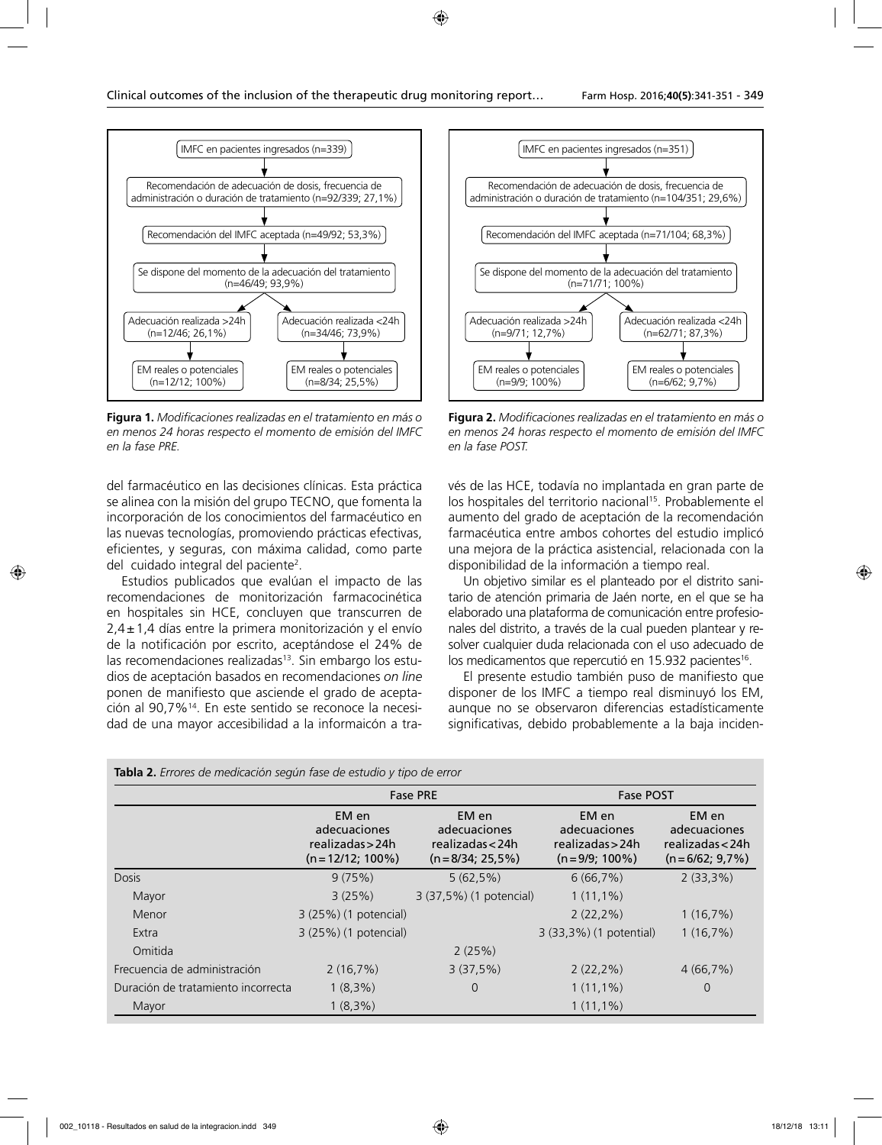

**Figura 1.** *Modificaciones realizadas en el tratamiento en más o en menos 24 horas respecto el momento de emisión del IMFC en la fase PRE.*

del farmacéutico en las decisiones clínicas. Esta práctica se alinea con la misión del grupo TECNO, que fomenta la incorporación de los conocimientos del farmacéutico en las nuevas tecnologías, promoviendo prácticas efectivas, eficientes, y seguras, con máxima calidad, como parte del cuidado integral del paciente<sup>2</sup>.

Estudios publicados que evalúan el impacto de las recomendaciones de monitorización farmacocinética en hospitales sin HCE, concluyen que transcurren de  $2,4\pm1,4$  días entre la primera monitorización y el envío de la notificación por escrito, aceptándose el 24% de las recomendaciones realizadas<sup>13</sup>. Sin embargo los estudios de aceptación basados en recomendaciones *on line*  ponen de manifiesto que asciende el grado de aceptación al 90,7%14. En este sentido se reconoce la necesidad de una mayor accesibilidad a la informaicón a tra-



**Figura 2.** *Modificaciones realizadas en el tratamiento en más o en menos 24 horas respecto el momento de emisión del IMFC en la fase POST.*

vés de las HCE, todavía no implantada en gran parte de los hospitales del territorio nacional<sup>15</sup>. Probablemente el aumento del grado de aceptación de la recomendación farmacéutica entre ambos cohortes del estudio implicó una mejora de la práctica asistencial, relacionada con la disponibilidad de la información a tiempo real.

Un objetivo similar es el planteado por el distrito sanitario de atención primaria de Jaén norte, en el que se ha elaborado una plataforma de comunicación entre profesionales del distrito, a través de la cual pueden plantear y resolver cualquier duda relacionada con el uso adecuado de los medicamentos que repercutió en 15.932 pacientes<sup>16</sup>.

El presente estudio también puso de manifiesto que disponer de los IMFC a tiempo real disminuyó los EM, aunque no se observaron diferencias estadísticamente significativas, debido probablemente a la baja inciden-

|                                    |                                                                 | <b>Fase PRE</b>                                                 | <b>Fase POST</b>                                              |                                                               |  |
|------------------------------------|-----------------------------------------------------------------|-----------------------------------------------------------------|---------------------------------------------------------------|---------------------------------------------------------------|--|
|                                    | EM en<br>adecuaciones<br>realizadas > 24h<br>$(n=12/12; 100\%)$ | EM en<br>adecuaciones<br>realizadas < 24h<br>$(n=8/34; 25.5\%)$ | EM en<br>adecuaciones<br>realizadas > 24h<br>$(n=9/9; 100\%)$ | EM en<br>adecuaciones<br>realizadas < 24h<br>$(n=6/62; 9.7%)$ |  |
| <b>Dosis</b>                       | 9(75%)                                                          | $5(62,5\%)$                                                     | 6(66,7%)                                                      | $2(33,3\%)$                                                   |  |
| Mayor                              | 3(25%)                                                          | 3 (37,5%) (1 potencial)                                         | $1(11,1\%)$                                                   |                                                               |  |
| Menor                              | 3 (25%) (1 potencial)                                           |                                                                 | $2(22,2\%)$                                                   | 1(16,7%)                                                      |  |
| Extra                              | 3 (25%) (1 potencial)                                           |                                                                 | 3 (33,3%) (1 potential)                                       | 1(16,7%)                                                      |  |
| Omitida                            |                                                                 | 2(25%)                                                          |                                                               |                                                               |  |
| Frecuencia de administración       | 2(16,7%)                                                        | 3(37,5%)                                                        | $2(22,2\%)$                                                   | 4(66,7%)                                                      |  |
| Duración de tratamiento incorrecta | $1(8,3\%)$                                                      | 0                                                               | $1(11,1\%)$                                                   | $\overline{0}$                                                |  |
| Mayor                              | $1(8,3\%)$                                                      |                                                                 | $1(11,1\%)$                                                   |                                                               |  |

|  | <b>Tabla 2.</b> Errores de medicación según fase de estudio y tipo de error |  |  |  |  |  |
|--|-----------------------------------------------------------------------------|--|--|--|--|--|
|  |                                                                             |  |  |  |  |  |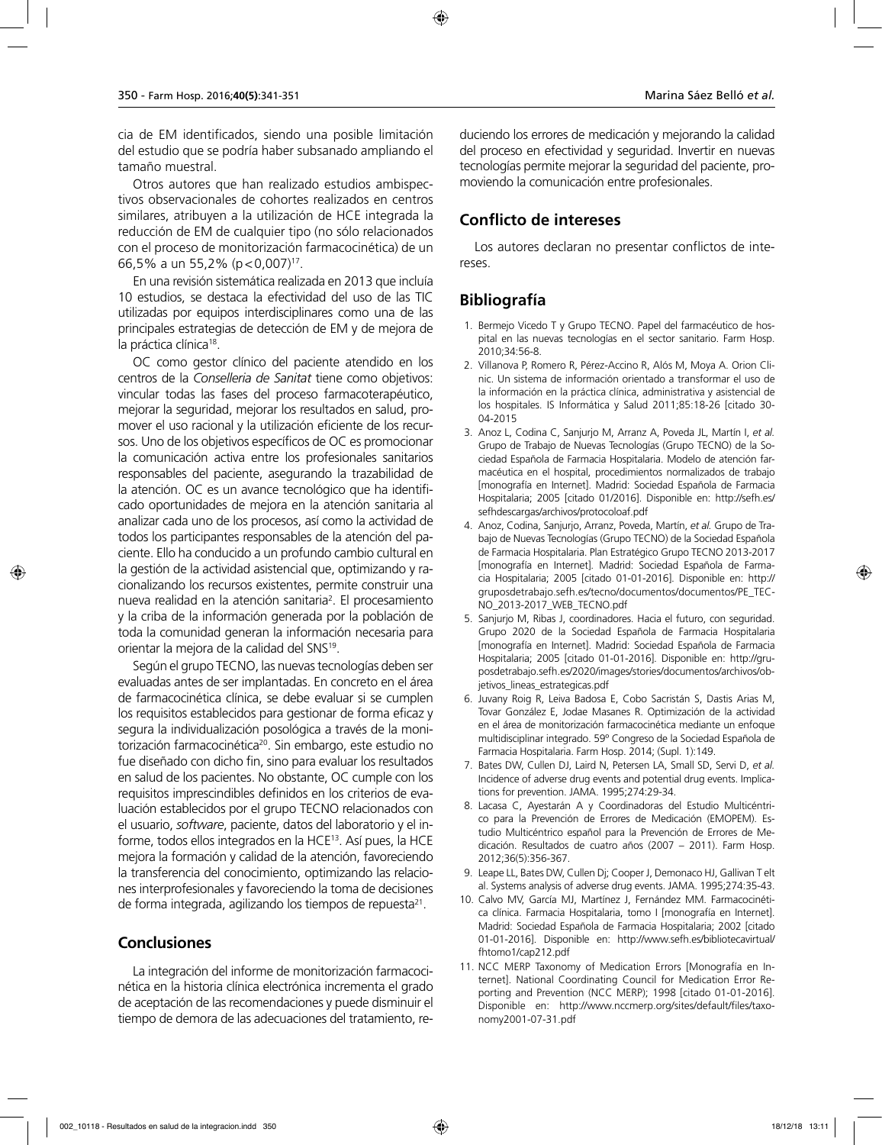cia de EM identificados, siendo una posible limitación del estudio que se podría haber subsanado ampliando el tamaño muestral.

Otros autores que han realizado estudios ambispectivos observacionales de cohortes realizados en centros similares, atribuyen a la utilización de HCE integrada la reducción de EM de cualquier tipo (no sólo relacionados con el proceso de monitorización farmacocinética) de un 66,5% a un 55,2% (p<0,007)17.

En una revisión sistemática realizada en 2013 que incluía 10 estudios, se destaca la efectividad del uso de las TIC utilizadas por equipos interdisciplinares como una de las principales estrategias de detección de EM y de mejora de la práctica clínica<sup>18</sup>.

OC como gestor clínico del paciente atendido en los centros de la *Conselleria de Sanitat* tiene como objetivos: vincular todas las fases del proceso farmacoterapéutico, mejorar la seguridad, mejorar los resultados en salud, promover el uso racional y la utilización eficiente de los recursos. Uno de los objetivos específicos de OC es promocionar la comunicación activa entre los profesionales sanitarios responsables del paciente, asegurando la trazabilidad de la atención. OC es un avance tecnológico que ha identificado oportunidades de mejora en la atención sanitaria al analizar cada uno de los procesos, así como la actividad de todos los participantes responsables de la atención del paciente. Ello ha conducido a un profundo cambio cultural en la gestión de la actividad asistencial que, optimizando y racionalizando los recursos existentes, permite construir una nueva realidad en la atención sanitaria<sup>2</sup>. El procesamiento y la criba de la información generada por la población de toda la comunidad generan la información necesaria para orientar la mejora de la calidad del SNS19.

Según el grupo TECNO, las nuevas tecnologías deben ser evaluadas antes de ser implantadas. En concreto en el área de farmacocinética clínica, se debe evaluar si se cumplen los requisitos establecidos para gestionar de forma eficaz y segura la individualización posológica a través de la monitorización farmacocinética<sup>20</sup>. Sin embargo, este estudio no fue diseñado con dicho fin, sino para evaluar los resultados en salud de los pacientes. No obstante, OC cumple con los requisitos imprescindibles definidos en los criterios de evaluación establecidos por el grupo TECNO relacionados con el usuario, *software*, paciente, datos del laboratorio y el informe, todos ellos integrados en la HCE13. Así pues, la HCE mejora la formación y calidad de la atención, favoreciendo la transferencia del conocimiento, optimizando las relaciones interprofesionales y favoreciendo la toma de decisiones de forma integrada, agilizando los tiempos de repuesta21.

### **Conclusiones**

La integración del informe de monitorización farmacocinética en la historia clínica electrónica incrementa el grado de aceptación de las recomendaciones y puede disminuir el tiempo de demora de las adecuaciones del tratamiento, reduciendo los errores de medicación y mejorando la calidad del proceso en efectividad y seguridad. Invertir en nuevas tecnologías permite mejorar la seguridad del paciente, promoviendo la comunicación entre profesionales.

### **Conflicto de intereses**

Los autores declaran no presentar conflictos de intereses.

# **Bibliografía**

- 1. Bermejo Vicedo T y Grupo TECNO. Papel del farmacéutico de hospital en las nuevas tecnologías en el sector sanitario. Farm Hosp. 2010;34:56-8.
- 2. Villanova P, Romero R, Pérez-Accino R, Alós M, Moya A. Orion Clinic. Un sistema de información orientado a transformar el uso de la información en la práctica clínica, administrativa y asistencial de los hospitales. IS Informática y Salud 2011;85:18-26 [citado 30- 04-2015
- 3. Anoz L, Codina C, Sanjurjo M, Arranz A, Poveda JL, Martín I, *et al.* Grupo de Trabajo de Nuevas Tecnologías (Grupo TECNO) de la Sociedad Española de Farmacia Hospitalaria. Modelo de atención farmacéutica en el hospital, procedimientos normalizados de trabajo [monografía en Internet]. Madrid: Sociedad Española de Farmacia Hospitalaria; 2005 [citado 01/2016]. Disponible en: http://sefh.es/ sefhdescargas/archivos/protocoloaf.pdf
- 4. Anoz, Codina, Sanjurjo, Arranz, Poveda, Martín, *et al.* Grupo de Trabajo de Nuevas Tecnologías (Grupo TECNO) de la Sociedad Española de Farmacia Hospitalaria. Plan Estratégico Grupo TECNO 2013-2017 [monografía en Internet]. Madrid: Sociedad Española de Farmacia Hospitalaria; 2005 [citado 01-01-2016]. Disponible en: http:// gruposdetrabajo.sefh.es/tecno/documentos/documentos/PE\_TEC-NO\_2013-2017\_WEB\_TECNO.pdf
- 5. Sanjurjo M, Ribas J, coordinadores. Hacia el futuro, con seguridad. Grupo 2020 de la Sociedad Española de Farmacia Hospitalaria [monografía en Internet]. Madrid: Sociedad Española de Farmacia Hospitalaria; 2005 [citado 01-01-2016]. Disponible en: http://gruposdetrabajo.sefh.es/2020/images/stories/documentos/archivos/objetivos\_lineas\_estrategicas.pdf
- 6. Juvany Roig R, Leiva Badosa E, Cobo Sacristán S, Dastis Arias M, Tovar González E, Jodae Masanes R. Optimización de la actividad en el área de monitorización farmacocinética mediante un enfoque multidisciplinar integrado. 59º Congreso de la Sociedad Española de Farmacia Hospitalaria. Farm Hosp. 2014; (Supl. 1):149.
- 7. Bates DW, Cullen DJ, Laird N, Petersen LA, Small SD, Servi D, *et al.* Incidence of adverse drug events and potential drug events. Implications for prevention. JAMA. 1995;274:29-34.
- 8. Lacasa C, Ayestarán A y Coordinadoras del Estudio Multicéntrico para la Prevención de Errores de Medicación (EMOPEM). Estudio Multicéntrico español para la Prevención de Errores de Medicación. Resultados de cuatro años (2007 – 2011). Farm Hosp. 2012;36(5):356-367.
- 9. Leape LL, Bates DW, Cullen Dj; Cooper J, Demonaco HJ, Gallivan T elt al. Systems analysis of adverse drug events. JAMA. 1995;274:35-43.
- 10. Calvo MV, García MJ, Martínez J, Fernández MM. Farmacocinética clínica. Farmacia Hospitalaria, tomo I [monografía en Internet]. Madrid: Sociedad Española de Farmacia Hospitalaria; 2002 [citado 01-01-2016]. Disponible en: http://www.sefh.es/bibliotecavirtual/ fhtomo1/cap212.pdf
- 11. NCC MERP Taxonomy of Medication Errors [Monografía en Internet]. National Coordinating Council for Medication Error Reporting and Prevention (NCC MERP); 1998 [citado 01-01-2016]. Disponible en: http://www.nccmerp.org/sites/default/files/taxonomy2001-07-31.pdf